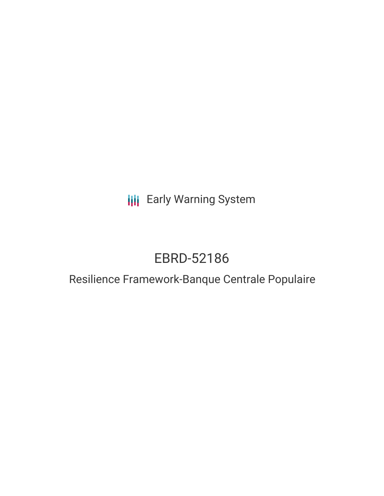**III** Early Warning System

# EBRD-52186

# Resilience Framework-Banque Centrale Populaire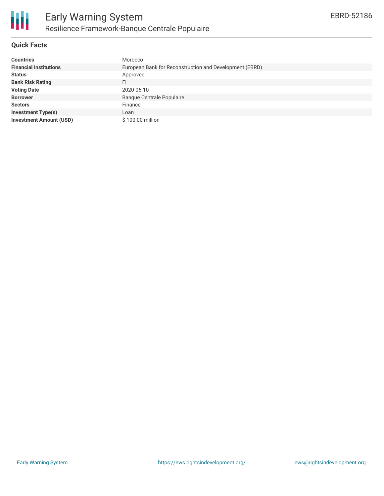

# **Quick Facts**

| <b>Countries</b>               | Morocco                                                 |
|--------------------------------|---------------------------------------------------------|
| <b>Financial Institutions</b>  | European Bank for Reconstruction and Development (EBRD) |
| <b>Status</b>                  | Approved                                                |
| <b>Bank Risk Rating</b>        | FI                                                      |
| <b>Voting Date</b>             | 2020-06-10                                              |
| <b>Borrower</b>                | <b>Banque Centrale Populaire</b>                        |
| <b>Sectors</b>                 | Finance                                                 |
| <b>Investment Type(s)</b>      | Loan                                                    |
| <b>Investment Amount (USD)</b> | \$100.00 million                                        |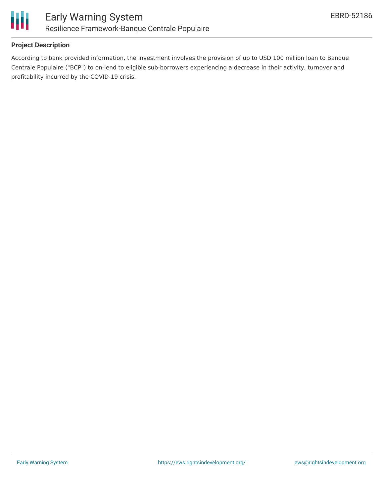

# **Project Description**

According to bank provided information, the investment involves the provision of up to USD 100 million loan to Banque Centrale Populaire ("BCP") to on-lend to eligible sub-borrowers experiencing a decrease in their activity, turnover and profitability incurred by the COVID-19 crisis.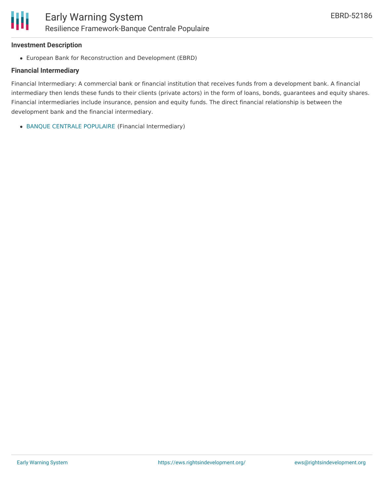#### **Investment Description**

European Bank for Reconstruction and Development (EBRD)

#### **Financial Intermediary**

Financial Intermediary: A commercial bank or financial institution that receives funds from a development bank. A financial intermediary then lends these funds to their clients (private actors) in the form of loans, bonds, guarantees and equity shares. Financial intermediaries include insurance, pension and equity funds. The direct financial relationship is between the development bank and the financial intermediary.

BANQUE CENTRALE [POPULAIRE](file:///actor/805/) (Financial Intermediary)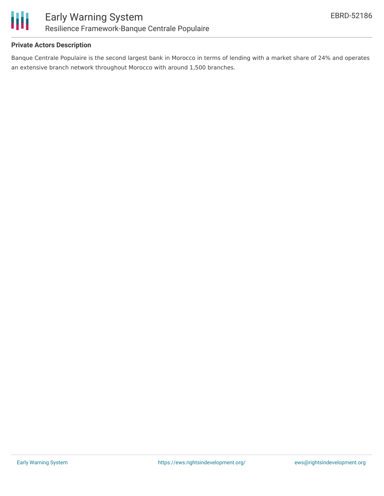

# **Private Actors Description**

Banque Centrale Populaire is the second largest bank in Morocco in terms of lending with a market share of 24% and operates an extensive branch network throughout Morocco with around 1,500 branches.